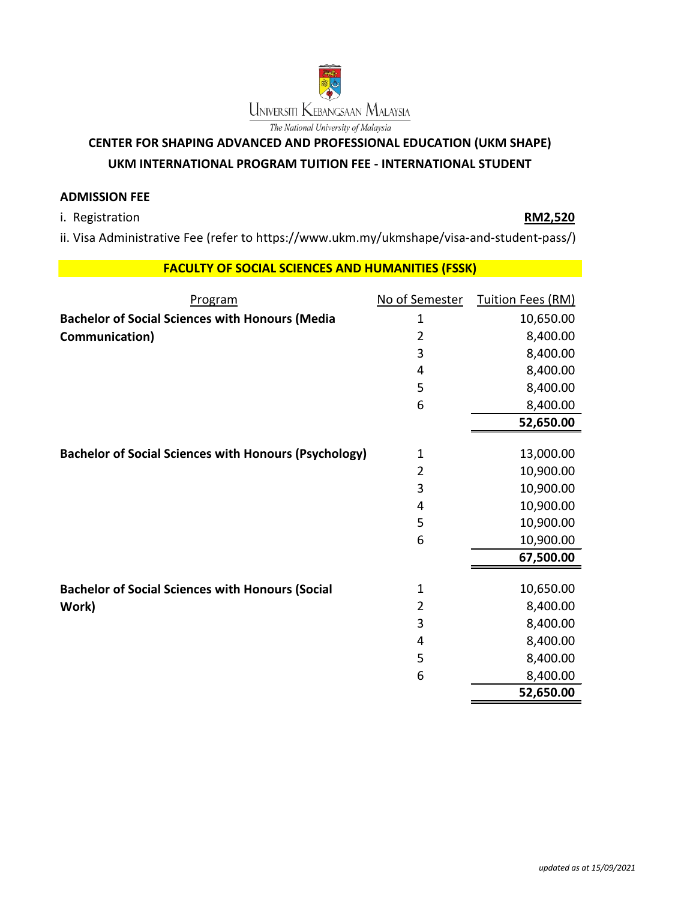

## **CENTER FOR SHAPING ADVANCED AND PROFESSIONAL EDUCATION (UKM SHAPE)**

## **UKM INTERNATIONAL PROGRAM TUITION FEE - INTERNATIONAL STUDENT**

## **ADMISSION FEE**

i. Registration **RM2,520**

ii. Visa Administrative Fee (refer to https://www.ukm.my/ukmshape/visa-and-student-pass/)

## **FACULTY OF SOCIAL SCIENCES AND HUMANITIES (FSSK)**

| Program                                                      | No of Semester | Tuition Fees (RM) |
|--------------------------------------------------------------|----------------|-------------------|
| <b>Bachelor of Social Sciences with Honours (Media</b>       | 1              | 10,650.00         |
| Communication)                                               | $\overline{2}$ | 8,400.00          |
|                                                              | 3              | 8,400.00          |
|                                                              | 4              | 8,400.00          |
|                                                              | 5              | 8,400.00          |
|                                                              | 6              | 8,400.00          |
|                                                              |                | 52,650.00         |
| <b>Bachelor of Social Sciences with Honours (Psychology)</b> | $\mathbf{1}$   | 13,000.00         |
|                                                              | $\overline{2}$ | 10,900.00         |
|                                                              | 3              | 10,900.00         |
|                                                              | 4              | 10,900.00         |
|                                                              | 5              | 10,900.00         |
|                                                              | 6              | 10,900.00         |
|                                                              |                | 67,500.00         |
| <b>Bachelor of Social Sciences with Honours (Social</b>      | $\mathbf{1}$   | 10,650.00         |
| Work)                                                        | $\overline{2}$ | 8,400.00          |
|                                                              | 3              | 8,400.00          |
|                                                              | 4              | 8,400.00          |
|                                                              | 5              | 8,400.00          |
|                                                              | 6              | 8,400.00          |
|                                                              |                | 52,650.00         |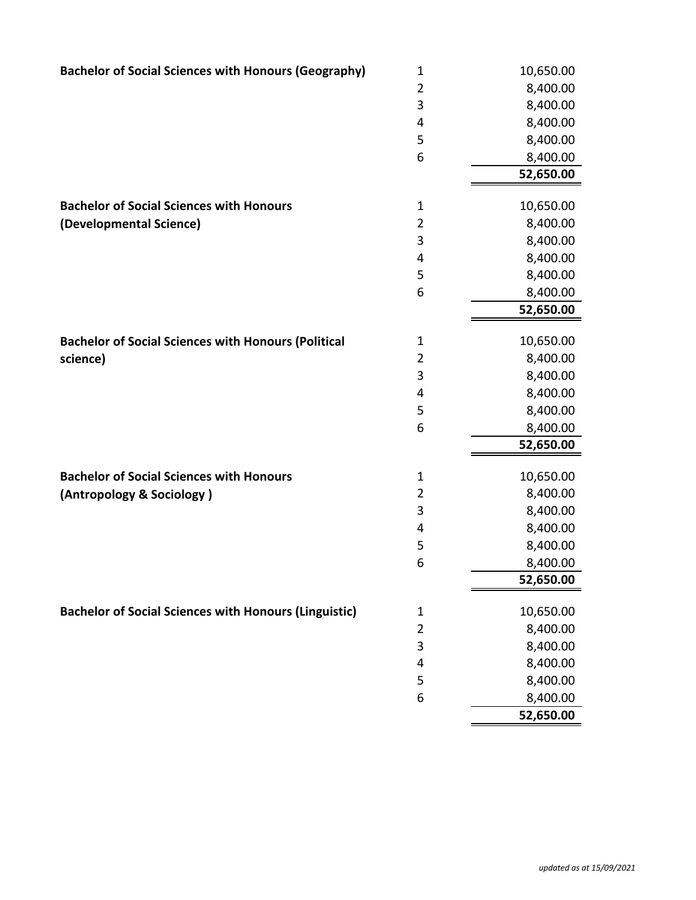| $\overline{2}$<br>8,400.00<br>3<br>8,400.00<br>8,400.00<br>4<br>5<br>8,400.00<br>6<br>8,400.00<br>52,650.00<br>$\mathbf 1$<br>10,650.00<br><b>Bachelor of Social Sciences with Honours</b><br>$\overline{2}$<br>8,400.00<br>(Developmental Science)<br>3<br>8,400.00<br>8,400.00<br>4<br>5<br>8,400.00<br>6<br>8,400.00<br>52,650.00<br><b>Bachelor of Social Sciences with Honours (Political</b><br>10,650.00<br>1<br>$\overline{2}$<br>8,400.00<br>science)<br>3<br>8,400.00<br>8,400.00<br>4<br>5<br>8,400.00<br>6<br>8,400.00<br>52,650.00<br><b>Bachelor of Social Sciences with Honours</b><br>10,650.00<br>1<br>$\overline{2}$<br>8,400.00<br>(Antropology & Sociology)<br>3<br>8,400.00<br>8,400.00<br>4<br>5<br>8,400.00<br>6<br>8,400.00<br>52,650.00<br><b>Bachelor of Social Sciences with Honours (Linguistic)</b><br>10,650.00<br>1<br>$\overline{2}$<br>8,400.00<br>3<br>8,400.00<br>8,400.00<br>4<br>8,400.00<br>5<br>6<br>8,400.00<br>52,650.00 | <b>Bachelor of Social Sciences with Honours (Geography)</b> | $\mathbf 1$ | 10,650.00 |
|-------------------------------------------------------------------------------------------------------------------------------------------------------------------------------------------------------------------------------------------------------------------------------------------------------------------------------------------------------------------------------------------------------------------------------------------------------------------------------------------------------------------------------------------------------------------------------------------------------------------------------------------------------------------------------------------------------------------------------------------------------------------------------------------------------------------------------------------------------------------------------------------------------------------------------------------------------------------|-------------------------------------------------------------|-------------|-----------|
|                                                                                                                                                                                                                                                                                                                                                                                                                                                                                                                                                                                                                                                                                                                                                                                                                                                                                                                                                                   |                                                             |             |           |
|                                                                                                                                                                                                                                                                                                                                                                                                                                                                                                                                                                                                                                                                                                                                                                                                                                                                                                                                                                   |                                                             |             |           |
|                                                                                                                                                                                                                                                                                                                                                                                                                                                                                                                                                                                                                                                                                                                                                                                                                                                                                                                                                                   |                                                             |             |           |
|                                                                                                                                                                                                                                                                                                                                                                                                                                                                                                                                                                                                                                                                                                                                                                                                                                                                                                                                                                   |                                                             |             |           |
|                                                                                                                                                                                                                                                                                                                                                                                                                                                                                                                                                                                                                                                                                                                                                                                                                                                                                                                                                                   |                                                             |             |           |
|                                                                                                                                                                                                                                                                                                                                                                                                                                                                                                                                                                                                                                                                                                                                                                                                                                                                                                                                                                   |                                                             |             |           |
|                                                                                                                                                                                                                                                                                                                                                                                                                                                                                                                                                                                                                                                                                                                                                                                                                                                                                                                                                                   |                                                             |             |           |
|                                                                                                                                                                                                                                                                                                                                                                                                                                                                                                                                                                                                                                                                                                                                                                                                                                                                                                                                                                   |                                                             |             |           |
|                                                                                                                                                                                                                                                                                                                                                                                                                                                                                                                                                                                                                                                                                                                                                                                                                                                                                                                                                                   |                                                             |             |           |
|                                                                                                                                                                                                                                                                                                                                                                                                                                                                                                                                                                                                                                                                                                                                                                                                                                                                                                                                                                   |                                                             |             |           |
|                                                                                                                                                                                                                                                                                                                                                                                                                                                                                                                                                                                                                                                                                                                                                                                                                                                                                                                                                                   |                                                             |             |           |
|                                                                                                                                                                                                                                                                                                                                                                                                                                                                                                                                                                                                                                                                                                                                                                                                                                                                                                                                                                   |                                                             |             |           |
|                                                                                                                                                                                                                                                                                                                                                                                                                                                                                                                                                                                                                                                                                                                                                                                                                                                                                                                                                                   |                                                             |             |           |
|                                                                                                                                                                                                                                                                                                                                                                                                                                                                                                                                                                                                                                                                                                                                                                                                                                                                                                                                                                   |                                                             |             |           |
|                                                                                                                                                                                                                                                                                                                                                                                                                                                                                                                                                                                                                                                                                                                                                                                                                                                                                                                                                                   |                                                             |             |           |
|                                                                                                                                                                                                                                                                                                                                                                                                                                                                                                                                                                                                                                                                                                                                                                                                                                                                                                                                                                   |                                                             |             |           |
|                                                                                                                                                                                                                                                                                                                                                                                                                                                                                                                                                                                                                                                                                                                                                                                                                                                                                                                                                                   |                                                             |             |           |
|                                                                                                                                                                                                                                                                                                                                                                                                                                                                                                                                                                                                                                                                                                                                                                                                                                                                                                                                                                   |                                                             |             |           |
|                                                                                                                                                                                                                                                                                                                                                                                                                                                                                                                                                                                                                                                                                                                                                                                                                                                                                                                                                                   |                                                             |             |           |
|                                                                                                                                                                                                                                                                                                                                                                                                                                                                                                                                                                                                                                                                                                                                                                                                                                                                                                                                                                   |                                                             |             |           |
|                                                                                                                                                                                                                                                                                                                                                                                                                                                                                                                                                                                                                                                                                                                                                                                                                                                                                                                                                                   |                                                             |             |           |
|                                                                                                                                                                                                                                                                                                                                                                                                                                                                                                                                                                                                                                                                                                                                                                                                                                                                                                                                                                   |                                                             |             |           |
|                                                                                                                                                                                                                                                                                                                                                                                                                                                                                                                                                                                                                                                                                                                                                                                                                                                                                                                                                                   |                                                             |             |           |
|                                                                                                                                                                                                                                                                                                                                                                                                                                                                                                                                                                                                                                                                                                                                                                                                                                                                                                                                                                   |                                                             |             |           |
|                                                                                                                                                                                                                                                                                                                                                                                                                                                                                                                                                                                                                                                                                                                                                                                                                                                                                                                                                                   |                                                             |             |           |
|                                                                                                                                                                                                                                                                                                                                                                                                                                                                                                                                                                                                                                                                                                                                                                                                                                                                                                                                                                   |                                                             |             |           |
|                                                                                                                                                                                                                                                                                                                                                                                                                                                                                                                                                                                                                                                                                                                                                                                                                                                                                                                                                                   |                                                             |             |           |
|                                                                                                                                                                                                                                                                                                                                                                                                                                                                                                                                                                                                                                                                                                                                                                                                                                                                                                                                                                   |                                                             |             |           |
|                                                                                                                                                                                                                                                                                                                                                                                                                                                                                                                                                                                                                                                                                                                                                                                                                                                                                                                                                                   |                                                             |             |           |
|                                                                                                                                                                                                                                                                                                                                                                                                                                                                                                                                                                                                                                                                                                                                                                                                                                                                                                                                                                   |                                                             |             |           |
|                                                                                                                                                                                                                                                                                                                                                                                                                                                                                                                                                                                                                                                                                                                                                                                                                                                                                                                                                                   |                                                             |             |           |
|                                                                                                                                                                                                                                                                                                                                                                                                                                                                                                                                                                                                                                                                                                                                                                                                                                                                                                                                                                   |                                                             |             |           |
|                                                                                                                                                                                                                                                                                                                                                                                                                                                                                                                                                                                                                                                                                                                                                                                                                                                                                                                                                                   |                                                             |             |           |
|                                                                                                                                                                                                                                                                                                                                                                                                                                                                                                                                                                                                                                                                                                                                                                                                                                                                                                                                                                   |                                                             |             |           |
|                                                                                                                                                                                                                                                                                                                                                                                                                                                                                                                                                                                                                                                                                                                                                                                                                                                                                                                                                                   |                                                             |             |           |